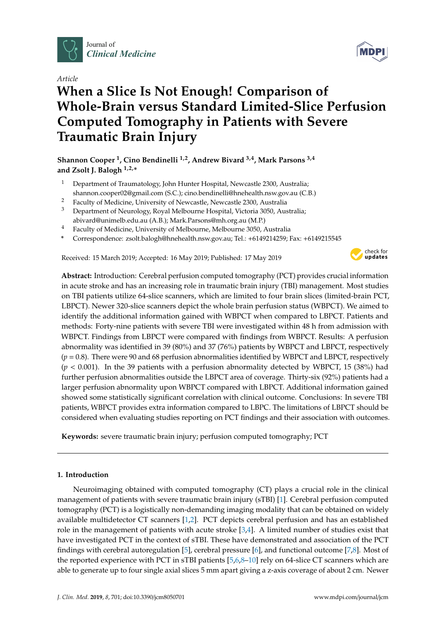

*Article*

# **When a Slice Is Not Enough! Comparison of Whole-Brain versus Standard Limited-Slice Perfusion Computed Tomography in Patients with Severe Traumatic Brain Injury**

**Shannon Cooper <sup>1</sup> , Cino Bendinelli 1,2, Andrew Bivard 3,4, Mark Parsons 3,4 and Zsolt J. Balogh 1,2,\***

- <sup>1</sup> Department of Traumatology, John Hunter Hospital, Newcastle 2300, Australia; shannon.cooper02@gmail.com (S.C.); cino.bendinelli@hnehealth.nsw.gov.au (C.B.)
- <sup>2</sup> Faculty of Medicine, University of Newcastle, Newcastle 2300, Australia
- <sup>3</sup> Department of Neurology, Royal Melbourne Hospital, Victoria 3050, Australia; abivard@unimelb.edu.au (A.B.); Mark.Parsons@mh.org.au (M.P.)
- <sup>4</sup> Faculty of Medicine, University of Melbourne, Melbourne 3050, Australia
- **\*** Correspondence: zsolt.balogh@hnehealth.nsw.gov.au; Tel.: +6149214259; Fax: +6149215545

Received: 15 March 2019; Accepted: 16 May 2019; Published: 17 May 2019



**Abstract:** Introduction: Cerebral perfusion computed tomography (PCT) provides crucial information in acute stroke and has an increasing role in traumatic brain injury (TBI) management. Most studies on TBI patients utilize 64-slice scanners, which are limited to four brain slices (limited-brain PCT, LBPCT). Newer 320-slice scanners depict the whole brain perfusion status (WBPCT). We aimed to identify the additional information gained with WBPCT when compared to LBPCT. Patients and methods: Forty-nine patients with severe TBI were investigated within 48 h from admission with WBPCT. Findings from LBPCT were compared with findings from WBPCT. Results: A perfusion abnormality was identified in 39 (80%) and 37 (76%) patients by WBPCT and LBPCT, respectively  $(p = 0.8)$ . There were 90 and 68 perfusion abnormalities identified by WBPCT and LBPCT, respectively  $(p < 0.001)$ . In the 39 patients with a perfusion abnormality detected by WBPCT, 15 (38%) had further perfusion abnormalities outside the LBPCT area of coverage. Thirty-six (92%) patients had a larger perfusion abnormality upon WBPCT compared with LBPCT. Additional information gained showed some statistically significant correlation with clinical outcome. Conclusions: In severe TBI patients, WBPCT provides extra information compared to LBPC. The limitations of LBPCT should be considered when evaluating studies reporting on PCT findings and their association with outcomes.

**Keywords:** severe traumatic brain injury; perfusion computed tomography; PCT

## **1. Introduction**

Neuroimaging obtained with computed tomography (CT) plays a crucial role in the clinical management of patients with severe traumatic brain injury (sTBI) [\[1\]](#page-5-0). Cerebral perfusion computed tomography (PCT) is a logistically non-demanding imaging modality that can be obtained on widely available multidetector CT scanners [\[1,](#page-5-0)[2\]](#page-5-1). PCT depicts cerebral perfusion and has an established role in the management of patients with acute stroke [\[3](#page-5-2)[,4\]](#page-5-3). A limited number of studies exist that have investigated PCT in the context of sTBI. These have demonstrated and association of the PCT findings with cerebral autoregulation [\[5\]](#page-5-4), cerebral pressure [\[6\]](#page-5-5), and functional outcome [\[7](#page-5-6)[,8\]](#page-5-7). Most of the reported experience with PCT in sTBI patients [\[5,](#page-5-4)[6,](#page-5-5)[8–](#page-5-7)[10\]](#page-5-8) rely on 64-slice CT scanners which are able to generate up to four single axial slices 5 mm apart giving a z-axis coverage of about 2 cm. Newer

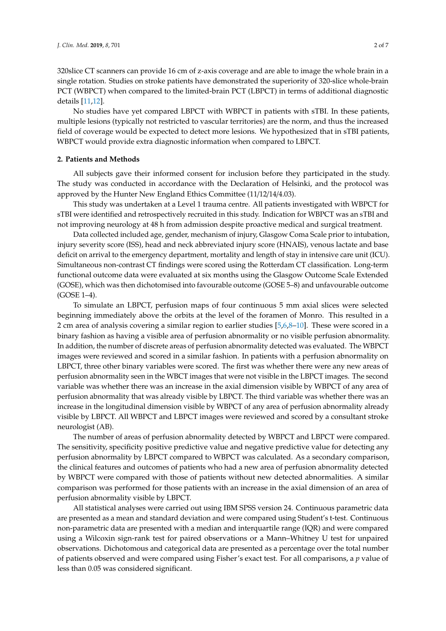320slice CT scanners can provide 16 cm of z-axis coverage and are able to image the whole brain in a single rotation. Studies on stroke patients have demonstrated the superiority of 320-slice whole-brain PCT (WBPCT) when compared to the limited-brain PCT (LBPCT) in terms of additional diagnostic details [\[11](#page-6-0)[,12\]](#page-6-1).

No studies have yet compared LBPCT with WBPCT in patients with sTBI. In these patients, multiple lesions (typically not restricted to vascular territories) are the norm, and thus the increased field of coverage would be expected to detect more lesions. We hypothesized that in sTBI patients, WBPCT would provide extra diagnostic information when compared to LBPCT.

## **2. Patients and Methods**

All subjects gave their informed consent for inclusion before they participated in the study. The study was conducted in accordance with the Declaration of Helsinki, and the protocol was approved by the Hunter New England Ethics Committee (11/12/14/4.03).

This study was undertaken at a Level 1 trauma centre. All patients investigated with WBPCT for sTBI were identified and retrospectively recruited in this study. Indication for WBPCT was an sTBI and not improving neurology at 48 h from admission despite proactive medical and surgical treatment.

Data collected included age, gender, mechanism of injury, Glasgow Coma Scale prior to intubation, injury severity score (ISS), head and neck abbreviated injury score (HNAIS), venous lactate and base deficit on arrival to the emergency department, mortality and length of stay in intensive care unit (ICU). Simultaneous non-contrast CT findings were scored using the Rotterdam CT classification. Long-term functional outcome data were evaluated at six months using the Glasgow Outcome Scale Extended (GOSE), which was then dichotomised into favourable outcome (GOSE 5–8) and unfavourable outcome (GOSE 1–4).

To simulate an LBPCT, perfusion maps of four continuous 5 mm axial slices were selected beginning immediately above the orbits at the level of the foramen of Monro. This resulted in a 2 cm area of analysis covering a similar region to earlier studies [\[5](#page-5-4)[,6,](#page-5-5)[8–](#page-5-7)[10\]](#page-5-8). These were scored in a binary fashion as having a visible area of perfusion abnormality or no visible perfusion abnormality. In addition, the number of discrete areas of perfusion abnormality detected was evaluated. The WBPCT images were reviewed and scored in a similar fashion. In patients with a perfusion abnormality on LBPCT, three other binary variables were scored. The first was whether there were any new areas of perfusion abnormality seen in the WBCT images that were not visible in the LBPCT images. The second variable was whether there was an increase in the axial dimension visible by WBPCT of any area of perfusion abnormality that was already visible by LBPCT. The third variable was whether there was an increase in the longitudinal dimension visible by WBPCT of any area of perfusion abnormality already visible by LBPCT. All WBPCT and LBPCT images were reviewed and scored by a consultant stroke neurologist (AB).

The number of areas of perfusion abnormality detected by WBPCT and LBPCT were compared. The sensitivity, specificity positive predictive value and negative predictive value for detecting any perfusion abnormality by LBPCT compared to WBPCT was calculated. As a secondary comparison, the clinical features and outcomes of patients who had a new area of perfusion abnormality detected by WBPCT were compared with those of patients without new detected abnormalities. A similar comparison was performed for those patients with an increase in the axial dimension of an area of perfusion abnormality visible by LBPCT.

All statistical analyses were carried out using IBM SPSS version 24. Continuous parametric data are presented as a mean and standard deviation and were compared using Student's t-test. Continuous non-parametric data are presented with a median and interquartile range (IQR) and were compared using a Wilcoxin sign-rank test for paired observations or a Mann–Whitney U test for unpaired observations. Dichotomous and categorical data are presented as a percentage over the total number of patients observed and were compared using Fisher's exact test. For all comparisons, a *p* value of less than 0.05 was considered significant.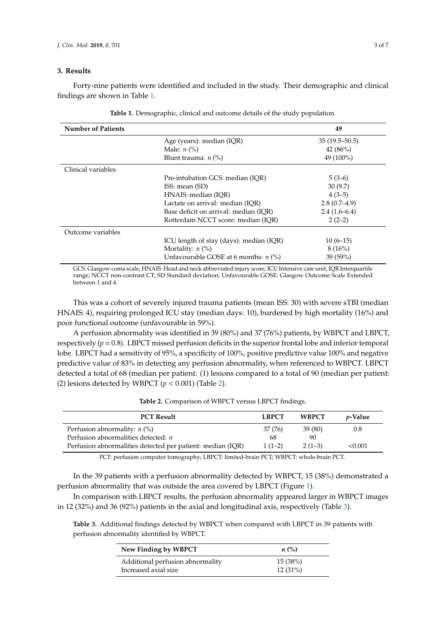## **3. Results**

Forty-nine patients were identified and included in the study. Their demographic and clinical findings are shown in Table [1.](#page-2-0)

<span id="page-2-0"></span>

| <b>Number of Patients</b> |                                         | 49                |
|---------------------------|-----------------------------------------|-------------------|
|                           | Age (years): median (IQR)               | $35(19.5 - 50.5)$ |
|                           | Male: $n$ (%)                           | 42 $(86\%)$       |
|                           | Blunt trauma: $n$ (%)                   | 49 (100%)         |
| Clinical variables        |                                         |                   |
|                           | Pre-intubation GCS: median (IOR)        | $5(3-6)$          |
|                           | ISS: mean (SD)                          | 30(9.7)           |
|                           | HNAIS: median (IQR)                     | $4(3-5)$          |
|                           | Lactate on arrival: median (IOR)        | $2.8(0.7-4.9)$    |
|                           | Base deficit on arrival: median (IOR)   | $2.4(1.6-6.4)$    |
|                           | Rotterdam NCCT score: median (IQR)      | $2(2-2)$          |
| Outcome variables         |                                         |                   |
|                           | ICU length of stay (days): median (IQR) | $10(6-15)$        |
|                           | Mortality: $n$ (%)                      | 8(16%)            |
|                           | Unfavourable GOSE at 6 months: $n$ (%)  | $39(59\%)$        |

| Table 1. Demographic, clinical and outcome details of the study population. |
|-----------------------------------------------------------------------------|
|-----------------------------------------------------------------------------|

GCS: Glasgow coma scale; HNAIS: Head and neck abbreviated injury score; ICU Intensive care unit; IQR Interquartile range; NCCT non-contrast CT; SD Standard deviation; Unfavourable GOSE: Glasgow Outcome Scale Extended between 1 and 4.

This was a cohort of severely injured trauma patients (mean ISS: 30) with severe sTBI (median HNAIS: 4), requiring prolonged ICU stay (median days: 10), burdened by high mortality (16%) and poor functional outcome (unfavourable in 59%).

A perfusion abnormality was identified in 39 (80%) and 37 (76%) patients, by WBPCT and LBPCT, respectively  $(p = 0.8)$ . LBPCT missed perfusion deficits in the superior frontal lobe and inferior temporal lobe. LBPCT had a sensitivity of 95%, a specificity of 100%, positive predictive value 100% and negative predictive value of 83% in detecting any perfusion abnormality, when referenced to WBPCT. LBPCT detected a total of 68 (median per patient: (1) lesions compared to a total of 90 (median per patient: ([2\)](#page-2-1) lesions detected by WBPCT  $(p < 0.001)$  (Table 2).

| Table 2. Comparison of WBPCT versus LBPCT findings. |  |  |  |  |  |  |
|-----------------------------------------------------|--|--|--|--|--|--|
|-----------------------------------------------------|--|--|--|--|--|--|

<span id="page-2-1"></span>

| <b>PCT Result</b>                                          | <b>LBPCT</b> | <b>WBPCT</b> | <i>v</i> -Value |
|------------------------------------------------------------|--------------|--------------|-----------------|
| Perfusion abnormality: $n$ (%)                             | 37 (76)      | 39 (80)      | 0.8             |
| Perfusion abnormalities detected: <i>n</i>                 | 68           | 90           |                 |
| Perfusion abnormalities detected per patient: median (IQR) | $1(1-2)$     | $2(1-3)$     | < 0.001         |

PCT: perfusion computer tomography; LBPCT: limited-brain PCT; WBPCT: whole-brain PCT.

In the 39 patients with a perfusion abnormality detected by WBPCT, 15 (38%) demonstrated a perfusion abnormality that was outside the area covered by LBPCT (Figure [1\)](#page-3-0).

In comparison with LBPCT results, the perfusion abnormality appeared larger in WBPCT images in 12 (32%) and 36 (92%) patients in the axial and longitudinal axis, respectively (Table [3\)](#page-3-1).

**Table 3.** Additional findings detected by WBPCT when compared with LBPCT in 39 patients with perfusion abnormality identified by WBPCT.

| New Finding by WBPCT             | $n\ (\%)$  |
|----------------------------------|------------|
| Additional perfusion abnormality | 15(38%)    |
| Increased axial size             | $12(31\%)$ |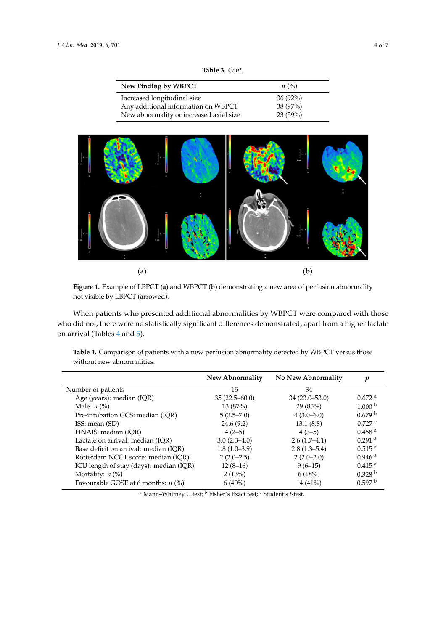<span id="page-3-1"></span>

| New Finding by WBPCT                    | $n\ (\%)$  |
|-----------------------------------------|------------|
| Increased longitudinal size             | $36(92\%)$ |
| Any additional information on WBPCT     | 38 (97%)   |
| New abnormality or increased axial size | $23(59\%)$ |

**Table 3.** *Cont.*

<span id="page-3-0"></span>

**Figure 1.** Example of LBPCT (**a**) and WBPCT (**b**) demonstrating a new area of perfusion abnormality not visible by LBPCT (arrowed). not visible by LBPCT (arrowed).

When patients who presented additional abnormalities by WBPCT were compared with those who did not, there were no statistically significant differences demonstrated, apart from a higher lactate on arrival (Tables [4](#page-3-2) and [5\)](#page-4-0).

<span id="page-3-2"></span>**Table 4.** Comparison of patients with a new perfusion abnormality detected by WBPCT versus those without new abnormalities.

|                                         | New Abnormality   | No New Abnormality | p                    |
|-----------------------------------------|-------------------|--------------------|----------------------|
| Number of patients                      | 15                | 34                 |                      |
| Age (years): median (IQR)               | $35(22.5 - 60.0)$ | $34(23.0 - 53.0)$  | $0.672$ <sup>a</sup> |
| Male: $n$ $\left(\% \right)$            | 13(87%)           | 29(85%)            | 1.000 <sup>b</sup>   |
| Pre-intubation GCS: median (IQR)        | $5(3.5 - 7.0)$    | $4(3.0-6.0)$       | 0.679 b              |
| ISS: mean (SD)                          | 24.6(9.2)         | 13.1(8.8)          | $0.727$ c            |
| HNAIS: median (IQR)                     | $4(2-5)$          | $4(3-5)$           | $0.458$ <sup>a</sup> |
| Lactate on arrival: median (IQR)        | $3.0(2.3-4.0)$    | $2.6(1.7-4.1)$     | $0.291$ <sup>a</sup> |
| Base deficit on arrival: median (IOR)   | $1.8(1.0-3.9)$    | $2.8(1.3-5.4)$     | $0.515$ <sup>a</sup> |
| Rotterdam NCCT score: median (IQR)      | $2(2.0-2.5)$      | $2(2.0-2.0)$       | $0.946$ <sup>a</sup> |
| ICU length of stay (days): median (IQR) | $12(8-16)$        | $9(6-15)$          | $0.415$ <sup>a</sup> |
| Mortality: $n$ (%)                      | 2(13%)            | 6(18%)             | 0.328 <sup>b</sup>   |
| Favourable GOSE at 6 months: $n$ (%)    | $6(40\%)$         | 14 (41%)           | 0.597 <sup>b</sup>   |

<sup>a</sup> Mann-Whitney U test; <sup>b</sup> Fisher's Exact test; <sup>c</sup> Student's *t*-test.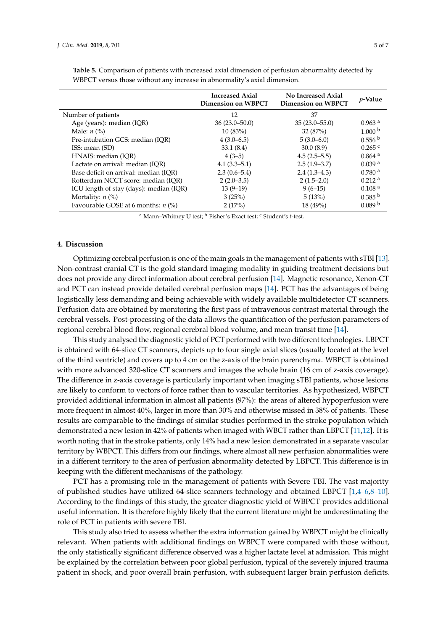|                                         | <b>Increased Axial</b><br><b>Dimension on WBPCT</b> | No Increased Axial<br><b>Dimension on WBPCT</b> | <i>p</i> -Value      |
|-----------------------------------------|-----------------------------------------------------|-------------------------------------------------|----------------------|
| Number of patients                      | 12                                                  | 37                                              |                      |
| Age (years): median (IQR)               | $36(23.0 - 50.0)$                                   | $35(23.0 - 55.0)$                               | $0.963$ <sup>a</sup> |
| Male: $n$ $\left(\% \right)$            | 10(83%)                                             | 32(87%)                                         | 1.000 <sup>b</sup>   |
| Pre-intubation GCS: median (IOR)        | $4(3.0-6.5)$                                        | $5(3.0-6.0)$                                    | 0.556 b              |
| ISS: mean (SD)                          | 33.1(8.4)                                           | 30.0(8.9)                                       | $0.265$ c            |
| HNAIS: median (IOR)                     | $4(3-5)$                                            | $4.5(2.5-5.5)$                                  | $0.864$ <sup>a</sup> |
| Lactate on arrival: median (IQR)        | $4.1(3.3-5.1)$                                      | $2.5(1.9-3.7)$                                  | 0.039 <sup>a</sup>   |
| Base deficit on arrival: median (IQR)   | $2.3(0.6-5.4)$                                      | $2.4(1.3-4.3)$                                  | $0.780$ <sup>a</sup> |
| Rotterdam NCCT score: median (IOR)      | $2(2.0-3.5)$                                        | $2(1.5-2.0)$                                    | 0.212 <sup>a</sup>   |
| ICU length of stay (days): median (IQR) | $13(9-19)$                                          | $9(6-15)$                                       | 0.108 <sup>a</sup>   |
| Mortality: $n$ (%)                      | 3(25%)                                              | 5(13%)                                          | $0.385^{b}$          |
| Favourable GOSE at 6 months: $n$ (%)    | 2(17%)                                              | 18 (49%)                                        | 0.089 <sup>b</sup>   |

<span id="page-4-0"></span>**Table 5.** Comparison of patients with increased axial dimension of perfusion abnormality detected by WBPCT versus those without any increase in abnormality's axial dimension.

<sup>a</sup> Mann–Whitney U test; <sup>b</sup> Fisher's Exact test; <sup>c</sup> Student's *t*-test.

## **4. Discussion**

Optimizing cerebral perfusion is one of the main goals in the management of patients with sTBI [\[13\]](#page-6-2). Non-contrast cranial CT is the gold standard imaging modality in guiding treatment decisions but does not provide any direct information about cerebral perfusion [\[14\]](#page-6-3). Magnetic resonance, Xenon-CT and PCT can instead provide detailed cerebral perfusion maps [\[14\]](#page-6-3). PCT has the advantages of being logistically less demanding and being achievable with widely available multidetector CT scanners. Perfusion data are obtained by monitoring the first pass of intravenous contrast material through the cerebral vessels. Post-processing of the data allows the quantification of the perfusion parameters of regional cerebral blood flow, regional cerebral blood volume, and mean transit time [\[14\]](#page-6-3).

This study analysed the diagnostic yield of PCT performed with two different technologies. LBPCT is obtained with 64-slice CT scanners, depicts up to four single axial slices (usually located at the level of the third ventricle) and covers up to 4 cm on the z-axis of the brain parenchyma. WBPCT is obtained with more advanced 320-slice CT scanners and images the whole brain (16 cm of z-axis coverage). The difference in z-axis coverage is particularly important when imaging sTBI patients, whose lesions are likely to conform to vectors of force rather than to vascular territories. As hypothesized, WBPCT provided additional information in almost all patients (97%): the areas of altered hypoperfusion were more frequent in almost 40%, larger in more than 30% and otherwise missed in 38% of patients. These results are comparable to the findings of similar studies performed in the stroke population which demonstrated a new lesion in 42% of patients when imaged with WBCT rather than LBPCT [\[11,](#page-6-0)[12\]](#page-6-1). It is worth noting that in the stroke patients, only 14% had a new lesion demonstrated in a separate vascular territory by WBPCT. This differs from our findings, where almost all new perfusion abnormalities were in a different territory to the area of perfusion abnormality detected by LBPCT. This difference is in keeping with the different mechanisms of the pathology.

PCT has a promising role in the management of patients with Severe TBI. The vast majority of published studies have utilized 64-slice scanners technology and obtained LBPCT [\[1](#page-5-0)[,4–](#page-5-3)[6,](#page-5-5)[8–](#page-5-7)[10\]](#page-5-8). According to the findings of this study, the greater diagnostic yield of WBPCT provides additional useful information. It is therefore highly likely that the current literature might be underestimating the role of PCT in patients with severe TBI.

This study also tried to assess whether the extra information gained by WBPCT might be clinically relevant. When patients with additional findings on WBPCT were compared with those without, the only statistically significant difference observed was a higher lactate level at admission. This might be explained by the correlation between poor global perfusion, typical of the severely injured trauma patient in shock, and poor overall brain perfusion, with subsequent larger brain perfusion deficits.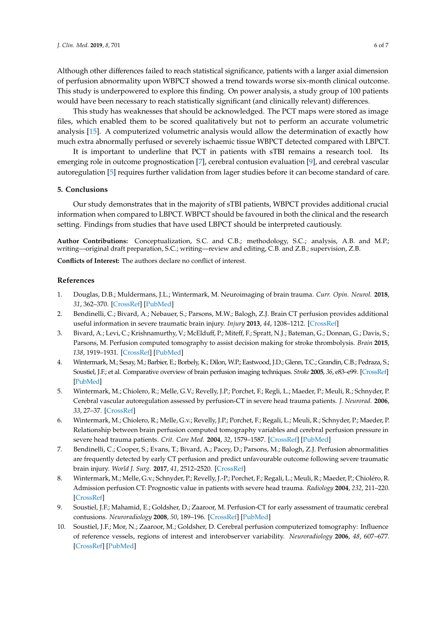Although other differences failed to reach statistical significance, patients with a larger axial dimension of perfusion abnormality upon WBPCT showed a trend towards worse six-month clinical outcome. This study is underpowered to explore this finding. On power analysis, a study group of 100 patients would have been necessary to reach statistically significant (and clinically relevant) differences.

This study has weaknesses that should be acknowledged. The PCT maps were stored as image files, which enabled them to be scored qualitatively but not to perform an accurate volumetric analysis [\[15\]](#page-6-4). A computerized volumetric analysis would allow the determination of exactly how much extra abnormally perfused or severely ischaemic tissue WBPCT detected compared with LBPCT.

It is important to underline that PCT in patients with sTBI remains a research tool. Its emerging role in outcome prognostication [\[7\]](#page-5-6), cerebral contusion evaluation [\[9\]](#page-5-9), and cerebral vascular autoregulation [\[5\]](#page-5-4) requires further validation from lager studies before it can become standard of care.

#### **5. Conclusions**

Our study demonstrates that in the majority of sTBI patients, WBPCT provides additional crucial information when compared to LBPCT. WBPCT should be favoured in both the clinical and the research setting. Findings from studies that have used LBPCT should be interpreted cautiously.

**Author Contributions:** Conceptualization, S.C. and C.B.; methodology, S.C.; analysis, A.B. and M.P.; writing—original draft preparation, S.C.; writing—review and editing, C.B. and Z.B.; supervision, Z.B.

**Conflicts of Interest:** The authors declare no conflict of interest.

## **References**

- <span id="page-5-0"></span>1. Douglas, D.B.; Muldermans, J.L.; Wintermark, M. Neuroimaging of brain trauma. *Curr. Opin. Neurol.* **2018**, *31*, 362–370. [\[CrossRef\]](http://dx.doi.org/10.1097/WCO.0000000000000567) [\[PubMed\]](http://www.ncbi.nlm.nih.gov/pubmed/29878909)
- <span id="page-5-1"></span>2. Bendinelli, C.; Bivard, A.; Nebauer, S.; Parsons, M.W.; Balogh, Z.J. Brain CT perfusion provides additional useful information in severe traumatic brain injury. *Injury* **2013**, *44*, 1208–1212. [\[CrossRef\]](http://dx.doi.org/10.1016/j.injury.2013.03.039)
- <span id="page-5-2"></span>3. Bivard, A.; Levi, C.; Krishnamurthy, V.; McElduff, P.; Miteff, F.; Spratt, N.J.; Bateman, G.; Donnan, G.; Davis, S.; Parsons, M. Perfusion computed tomography to assist decision making for stroke thrombolysis. *Brain* **2015**, *138*, 1919–1931. [\[CrossRef\]](http://dx.doi.org/10.1093/brain/awv071) [\[PubMed\]](http://www.ncbi.nlm.nih.gov/pubmed/25808369)
- <span id="page-5-3"></span>4. Wintermark, M.; Sesay, M.; Barbier, E.; Borbely, K.; Dilon, W.P.; Eastwood, J.D.; Glenn, T.C.; Grandin, C.B.; Pedraza, S.; Soustiel, J.F.; et al. Comparative overview of brain perfusion imaging techniques. *Stroke* **2005**, *36*, e83–e99. [\[CrossRef\]](http://dx.doi.org/10.1161/01.STR.0000177839.03321.25) [\[PubMed\]](http://www.ncbi.nlm.nih.gov/pubmed/16100027)
- <span id="page-5-4"></span>5. Wintermark, M.; Chiolero, R.; Melle, G.V.; Revelly, J.P.; Porchet, F.; Regli, L.; Maeder, P.; Meuli, R.; Schnyder, P. Cerebral vascular autoregulation assessed by perfusion-CT in severe head trauma patients. *J. Neurorad.* **2006**, *33*, 27–37. [\[CrossRef\]](http://dx.doi.org/10.1016/S0150-9861(06)77225-X)
- <span id="page-5-5"></span>6. Wintermark, M.; Chiolero, R.; Melle, G.v.; Revelly, J.P.; Porchet, F.; Regali, L.; Meuli, R.; Schnyder, P.; Maeder, P. Relationship between brain perfusion computed tomography variables and cerebral perfusion pressure in severe head trauma patients. *Crit. Care Med.* **2004**, *32*, 1579–1587. [\[CrossRef\]](http://dx.doi.org/10.1097/01.CCM.0000130171.08842.72) [\[PubMed\]](http://www.ncbi.nlm.nih.gov/pubmed/15241105)
- <span id="page-5-6"></span>7. Bendinelli, C.; Cooper, S.; Evans, T.; Bivard, A.; Pacey, D.; Parsons, M.; Balogh, Z.J. Perfusion abnormalities are frequently detected by early CT perfusion and predict unfavourable outcome following severe traumatic brain injury. *World J. Surg.* **2017**, *41*, 2512–2520. [\[CrossRef\]](http://dx.doi.org/10.1007/s00268-017-4030-7)
- <span id="page-5-7"></span>8. Wintermark, M.; Melle, G.v.; Schnyder, P.; Revelly, J.-P.; Porchet, F.; Regali, L.; Meuli, R.; Maeder, P.; Chioléro, R. Admission perfusion CT: Prognostic value in patients with severe head trauma. *Radiology* **2004**, *232*, 211–220. [\[CrossRef\]](http://dx.doi.org/10.1148/radiol.2321030824)
- <span id="page-5-9"></span>9. Soustiel, J.F.; Mahamid, E.; Goldsher, D.; Zaaroor, M. Perfusion-CT for early assessment of traumatic cerebral contusions. *Neuroradiology* **2008**, *50*, 189–196. [\[CrossRef\]](http://dx.doi.org/10.1007/s00234-007-0337-7) [\[PubMed\]](http://www.ncbi.nlm.nih.gov/pubmed/18040673)
- <span id="page-5-8"></span>10. Soustiel, J.F.; Mor, N.; Zaaroor, M.; Goldsher, D. Cerebral perfusion computerized tomography: Influence of reference vessels, regions of interest and interobserver variability. *Neuroradiology* **2006**, *48*, 607–677. [\[CrossRef\]](http://dx.doi.org/10.1007/s00234-006-0099-7) [\[PubMed\]](http://www.ncbi.nlm.nih.gov/pubmed/16718460)